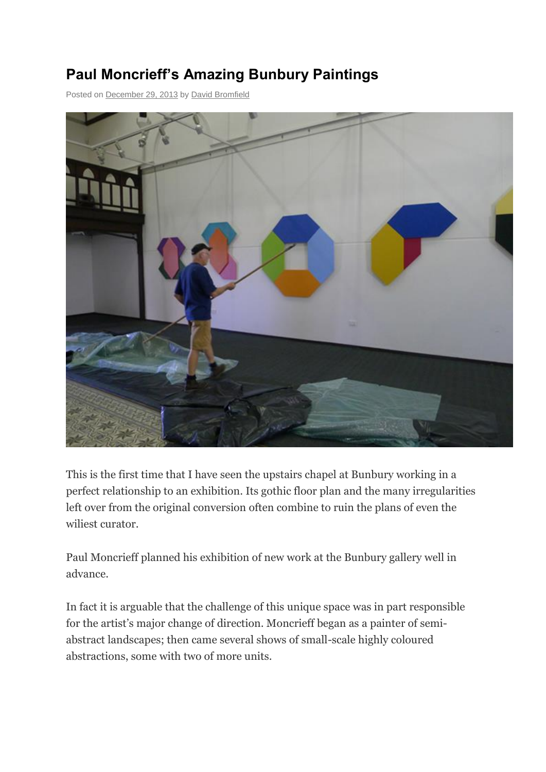## **Paul Moncrieff's Amazing Bunbury Paintings**

Posted on [December 29, 2013](http://tincanvas.org/?p=171) b[y David Bromfield](http://tincanvas.org/?author=1)



This is the first time that I have seen the upstairs chapel at Bunbury working in a perfect relationship to an exhibition. Its gothic floor plan and the many irregularities left over from the original conversion often combine to ruin the plans of even the wiliest curator.

Paul Moncrieff planned his exhibition of new work at the Bunbury gallery well in advance.

In fact it is arguable that the challenge of this unique space was in part responsible for the artist's major change of direction. Moncrieff began as a painter of semiabstract landscapes; then came several shows of small-scale highly coloured abstractions, some with two of more units.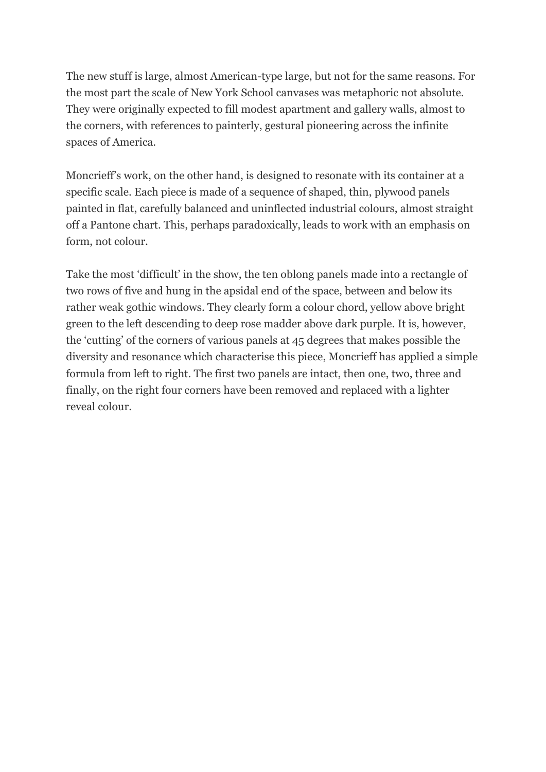The new stuff is large, almost American-type large, but not for the same reasons. For the most part the scale of New York School canvases was metaphoric not absolute. They were originally expected to fill modest apartment and gallery walls, almost to the corners, with references to painterly, gestural pioneering across the infinite spaces of America.

Moncrieff's work, on the other hand, is designed to resonate with its container at a specific scale. Each piece is made of a sequence of shaped, thin, plywood panels painted in flat, carefully balanced and uninflected industrial colours, almost straight off a Pantone chart. This, perhaps paradoxically, leads to work with an emphasis on form, not colour.

Take the most 'difficult' in the show, the ten oblong panels made into a rectangle of two rows of five and hung in the apsidal end of the space, between and below its rather weak gothic windows. They clearly form a colour chord, yellow above bright green to the left descending to deep rose madder above dark purple. It is, however, the 'cutting' of the corners of various panels at 45 degrees that makes possible the diversity and resonance which characterise this piece, Moncrieff has applied a simple formula from left to right. The first two panels are intact, then one, two, three and finally, on the right four corners have been removed and replaced with a lighter reveal colour.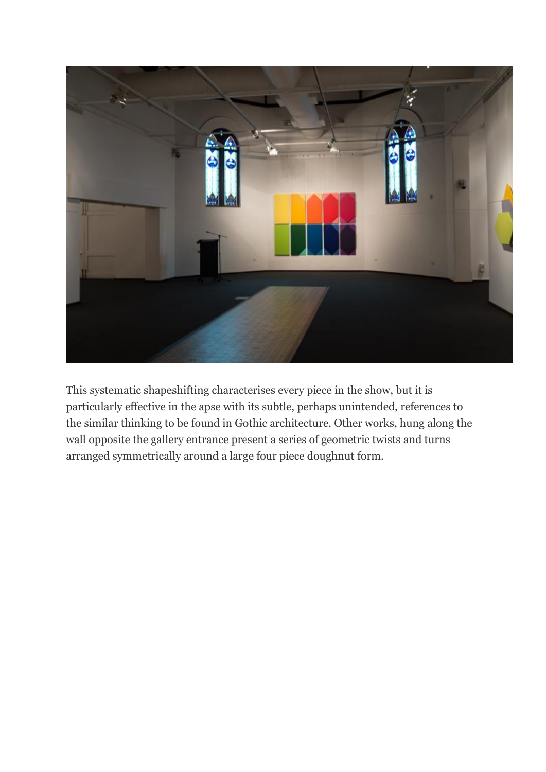

This systematic shapeshifting characterises every piece in the show, but it is particularly effective in the apse with its subtle, perhaps unintended, references to the similar thinking to be found in Gothic architecture. Other works, hung along the wall opposite the gallery entrance present a series of geometric twists and turns arranged symmetrically around a large four piece doughnut form.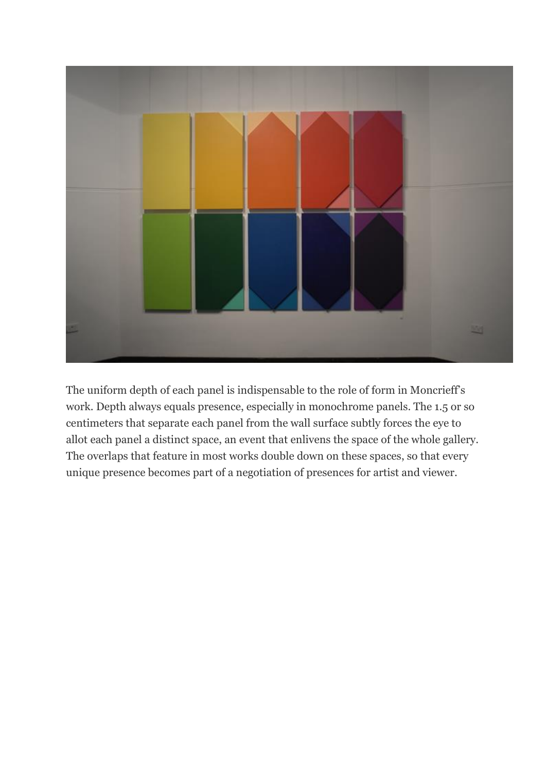

The uniform depth of each panel is indispensable to the role of form in Moncrieff's work. Depth always equals presence, especially in monochrome panels. The 1.5 or so centimeters that separate each panel from the wall surface subtly forces the eye to allot each panel a distinct space, an event that enlivens the space of the whole gallery. The overlaps that feature in most works double down on these spaces, so that every unique presence becomes part of a negotiation of presences for artist and viewer.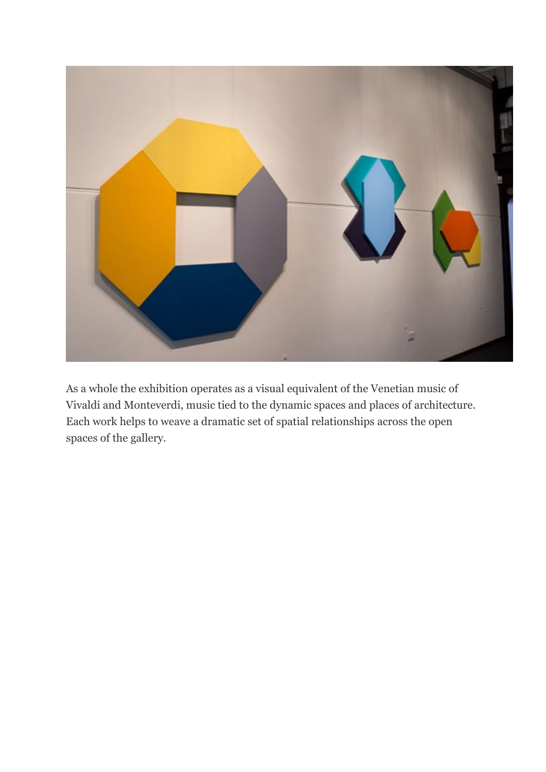

As a whole the exhibition operates as a visual equivalent of the Venetian music of Vivaldi and Monteverdi, music tied to the dynamic spaces and places of architecture. Each work helps to weave a dramatic set of spatial relationships across the open spaces of the gallery.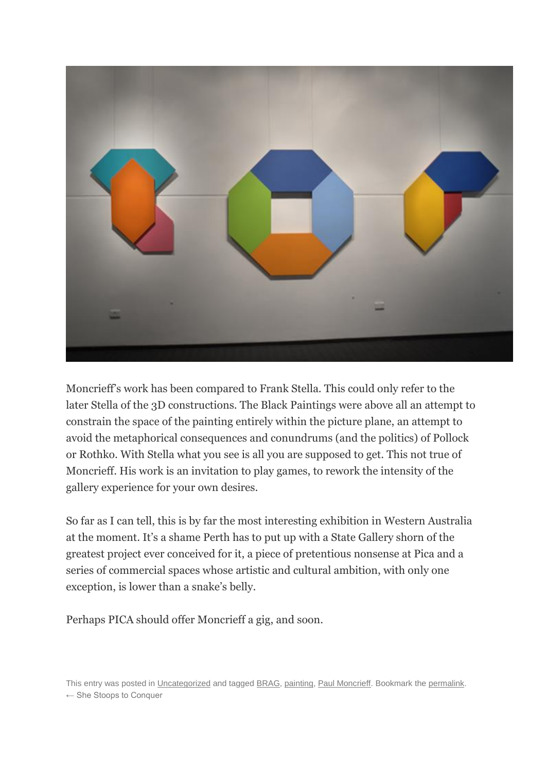

Moncrieff's work has been compared to Frank Stella. This could only refer to the later Stella of the 3D constructions. The Black Paintings were above all an attempt to constrain the space of the painting entirely within the picture plane, an attempt to avoid the metaphorical consequences and conundrums (and the politics) of Pollock or Rothko. With Stella what you see is all you are supposed to get. This not true of Moncrieff. His work is an invitation to play games, to rework the intensity of the gallery experience for your own desires.

So far as I can tell, this is by far the most interesting exhibition in Western Australia at the moment. It's a shame Perth has to put up with a State Gallery shorn of the greatest project ever conceived for it, a piece of pretentious nonsense at Pica and a series of commercial spaces whose artistic and cultural ambition, with only one exception, is lower than a snake's belly.

Perhaps PICA should offer Moncrieff a gig, and soon.

This entry was posted i[n Uncategorized](http://tincanvas.org/?cat=1) and tagge[d BRAG,](http://tincanvas.org/?tag=brag) [painting,](http://tincanvas.org/?tag=painting) [Paul Moncrieff.](http://tincanvas.org/?tag=paul-moncrieff) Bookmark the [permalink.](http://tincanvas.org/?p=171) [← She Stoops to Conquer](http://tincanvas.org/?p=154)